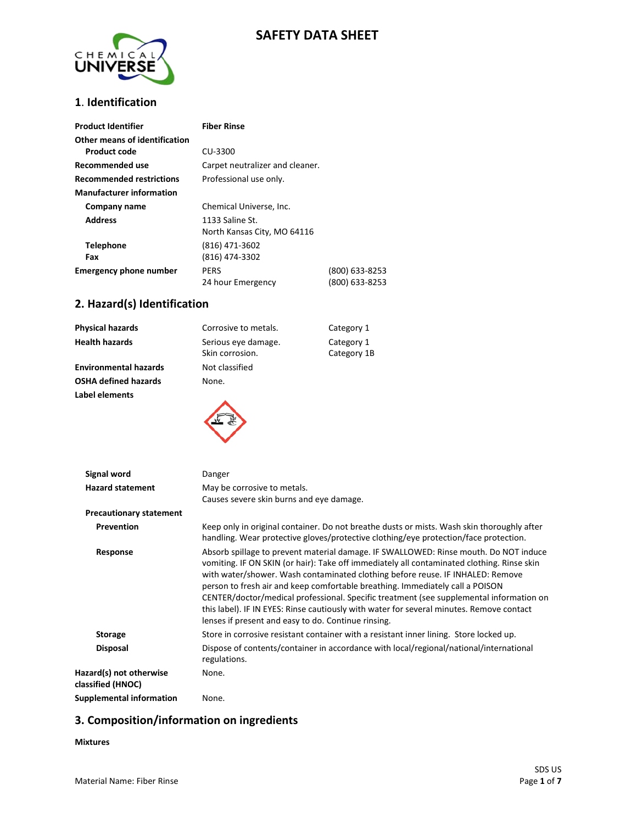# **SAFETY DATA SHEET**



## **1**. **Identification**

| <b>Product Identifier</b>                            | Fiber Rinse                                    |                                  |
|------------------------------------------------------|------------------------------------------------|----------------------------------|
| Other means of identification<br><b>Product code</b> | CU-3300                                        |                                  |
| Recommended use                                      | Carpet neutralizer and cleaner.                |                                  |
| <b>Recommended restrictions</b>                      | Professional use only.                         |                                  |
| <b>Manufacturer information</b>                      |                                                |                                  |
| Company name                                         | Chemical Universe, Inc.                        |                                  |
| <b>Address</b>                                       | 1133 Saline St.<br>North Kansas City, MO 64116 |                                  |
| <b>Telephone</b><br>Fax                              | (816) 471-3602<br>(816) 474-3302               |                                  |
| <b>Emergency phone number</b>                        | <b>PERS</b><br>24 hour Emergency               | (800) 633-8253<br>(800) 633-8253 |

### **2. Hazard(s) Identification**

| Physical hazards             | Corrosive to metals.                   | Category 1                |
|------------------------------|----------------------------------------|---------------------------|
| <b>Health hazards</b>        | Serious eye damage.<br>Skin corrosion. | Category 1<br>Category 1B |
| <b>Environmental hazards</b> | Not classified                         |                           |
| OSHA defined hazards         | None.                                  |                           |
| <b>Label elements</b>        |                                        |                           |

| Signal word                                  | Danger                                                                                                                                                                                                                                                                                                                                                                                                                                                                                                                                                                                              |  |  |
|----------------------------------------------|-----------------------------------------------------------------------------------------------------------------------------------------------------------------------------------------------------------------------------------------------------------------------------------------------------------------------------------------------------------------------------------------------------------------------------------------------------------------------------------------------------------------------------------------------------------------------------------------------------|--|--|
| <b>Hazard statement</b>                      | May be corrosive to metals.<br>Causes severe skin burns and eye damage.                                                                                                                                                                                                                                                                                                                                                                                                                                                                                                                             |  |  |
| <b>Precautionary statement</b>               |                                                                                                                                                                                                                                                                                                                                                                                                                                                                                                                                                                                                     |  |  |
| Prevention                                   | Keep only in original container. Do not breathe dusts or mists. Wash skin thoroughly after<br>handling. Wear protective gloves/protective clothing/eye protection/face protection.                                                                                                                                                                                                                                                                                                                                                                                                                  |  |  |
| Response                                     | Absorb spillage to prevent material damage. IF SWALLOWED: Rinse mouth. Do NOT induce<br>vomiting. IF ON SKIN (or hair): Take off immediately all contaminated clothing. Rinse skin<br>with water/shower. Wash contaminated clothing before reuse. IF INHALED: Remove<br>person to fresh air and keep comfortable breathing. Immediately call a POISON<br>CENTER/doctor/medical professional. Specific treatment (see supplemental information on<br>this label). IF IN EYES: Rinse cautiously with water for several minutes. Remove contact<br>lenses if present and easy to do. Continue rinsing. |  |  |
| <b>Storage</b>                               | Store in corrosive resistant container with a resistant inner lining. Store locked up.                                                                                                                                                                                                                                                                                                                                                                                                                                                                                                              |  |  |
| <b>Disposal</b>                              | Dispose of contents/container in accordance with local/regional/national/international<br>regulations.                                                                                                                                                                                                                                                                                                                                                                                                                                                                                              |  |  |
| Hazard(s) not otherwise<br>classified (HNOC) | None.                                                                                                                                                                                                                                                                                                                                                                                                                                                                                                                                                                                               |  |  |

**Supplemental information** None.

# **3. Composition/information on ingredients**

#### **Mixtures**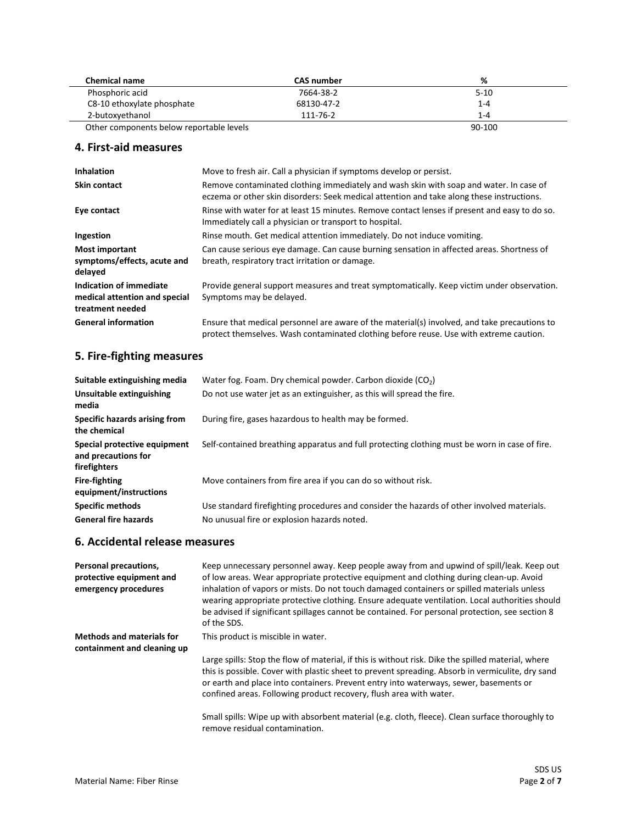| <b>Chemical name</b>                     | <b>CAS number</b> | %        |
|------------------------------------------|-------------------|----------|
| Phosphoric acid                          | 7664-38-2         | $5 - 10$ |
| C8-10 ethoxylate phosphate               | 68130-47-2        | $1 - 4$  |
| 2-butoxyethanol                          | 111-76-2          | $1 - 4$  |
| Other components below reportable levels |                   | 90-100   |

#### **4. First-aid measures**

| <b>Inhalation</b>                                                            | Move to fresh air. Call a physician if symptoms develop or persist.                                                                                                                    |
|------------------------------------------------------------------------------|----------------------------------------------------------------------------------------------------------------------------------------------------------------------------------------|
| <b>Skin contact</b>                                                          | Remove contaminated clothing immediately and wash skin with soap and water. In case of<br>eczema or other skin disorders: Seek medical attention and take along these instructions.    |
| Eye contact                                                                  | Rinse with water for at least 15 minutes. Remove contact lenses if present and easy to do so.<br>Immediately call a physician or transport to hospital.                                |
| Ingestion                                                                    | Rinse mouth. Get medical attention immediately. Do not induce vomiting.                                                                                                                |
| <b>Most important</b><br>symptoms/effects, acute and<br>delayed              | Can cause serious eye damage. Can cause burning sensation in affected areas. Shortness of<br>breath, respiratory tract irritation or damage.                                           |
| Indication of immediate<br>medical attention and special<br>treatment needed | Provide general support measures and treat symptomatically. Keep victim under observation.<br>Symptoms may be delayed.                                                                 |
| <b>General information</b>                                                   | Ensure that medical personnel are aware of the material(s) involved, and take precautions to<br>protect themselves. Wash contaminated clothing before reuse. Use with extreme caution. |

# **5. Fire-fighting measures**

| Suitable extinguishing media                                        | Water fog. Foam. Dry chemical powder. Carbon dioxide $(CO2)$                                  |
|---------------------------------------------------------------------|-----------------------------------------------------------------------------------------------|
| Unsuitable extinguishing<br>media                                   | Do not use water jet as an extinguisher, as this will spread the fire.                        |
| Specific hazards arising from<br>the chemical                       | During fire, gases hazardous to health may be formed.                                         |
| Special protective equipment<br>and precautions for<br>firefighters | Self-contained breathing apparatus and full protecting clothing must be worn in case of fire. |
| <b>Fire-fighting</b><br>equipment/instructions                      | Move containers from fire area if you can do so without risk.                                 |
| <b>Specific methods</b>                                             | Use standard firefighting procedures and consider the hazards of other involved materials.    |
| <b>General fire hazards</b>                                         | No unusual fire or explosion hazards noted.                                                   |

#### **6. Accidental release measures**

| Personal precautions,<br>protective equipment and<br>emergency procedures | Keep unnecessary personnel away. Keep people away from and upwind of spill/leak. Keep out<br>of low areas. Wear appropriate protective equipment and clothing during clean-up. Avoid<br>inhalation of vapors or mists. Do not touch damaged containers or spilled materials unless<br>wearing appropriate protective clothing. Ensure adequate ventilation. Local authorities should<br>be advised if significant spillages cannot be contained. For personal protection, see section 8<br>of the SDS. |
|---------------------------------------------------------------------------|--------------------------------------------------------------------------------------------------------------------------------------------------------------------------------------------------------------------------------------------------------------------------------------------------------------------------------------------------------------------------------------------------------------------------------------------------------------------------------------------------------|
| <b>Methods and materials for</b><br>containment and cleaning up           | This product is miscible in water.                                                                                                                                                                                                                                                                                                                                                                                                                                                                     |
|                                                                           | Large spills: Stop the flow of material, if this is without risk. Dike the spilled material, where<br>this is possible. Cover with plastic sheet to prevent spreading. Absorb in vermiculite, dry sand<br>or earth and place into containers. Prevent entry into waterways, sewer, basements or<br>confined areas. Following product recovery, flush area with water.                                                                                                                                  |
|                                                                           | Small spills: Wipe up with absorbent material (e.g. cloth, fleece). Clean surface thoroughly to<br>remove residual contamination.                                                                                                                                                                                                                                                                                                                                                                      |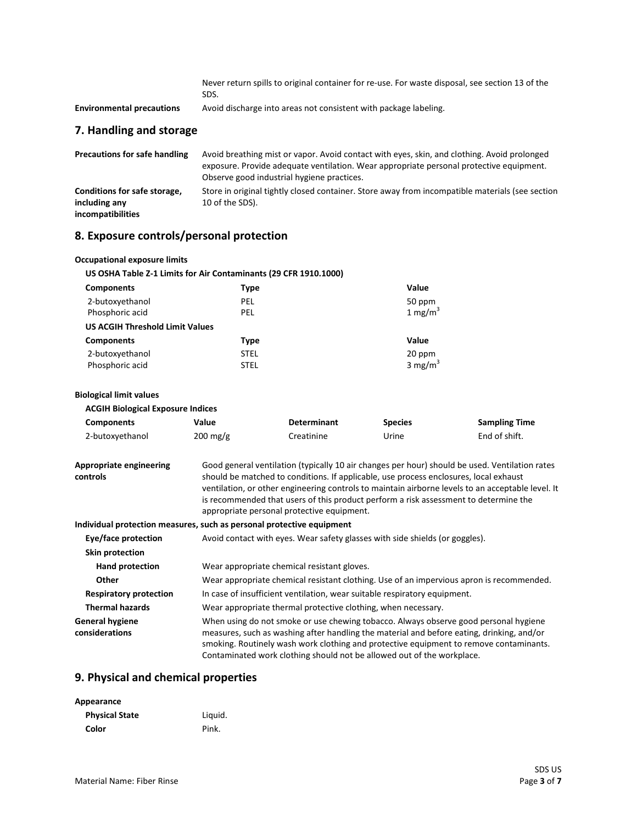|                                  | Never return spills to original container for re-use. For waste disposal, see section 13 of the<br>SDS. |  |
|----------------------------------|---------------------------------------------------------------------------------------------------------|--|
| <b>Environmental precautions</b> | Avoid discharge into areas not consistent with package labeling.                                        |  |
| 7. Handling and storage          |                                                                                                         |  |
| Dasseutis as far safa bandling   | broid broathing mist arrunage. Arraid contact with over align and electrical Arraid prolonged           |  |

| Precautions for safe nandling | AVOID DIEBUILING INSULT NOU CONTROL WILL EVES, SKIN, BND CIOLINIIS. AVOID DI OIDINEED           |
|-------------------------------|-------------------------------------------------------------------------------------------------|
|                               | exposure. Provide adequate ventilation. Wear appropriate personal protective equipment.         |
|                               | Observe good industrial hygiene practices.                                                      |
| Conditions for safe storage,  | Store in original tightly closed container. Store away from incompatible materials (see section |
| including any                 | 10 of the SDS).                                                                                 |
| incompatibilities             |                                                                                                 |

# **8. Exposure controls/personal protection**

| <b>Occupational exposure limits</b>                              |                    |
|------------------------------------------------------------------|--------------------|
| US OSHA Table Z-1 Limits for Air Contaminants (29 CFR 1910.1000) |                    |
| <b>Components</b><br>Type                                        | Value              |
| 2-butoxyethanol<br>PEL                                           | 50 ppm             |
| Phosphoric acid<br>PEL                                           | $1 \text{ mg/m}^3$ |
| <b>US ACGIH Threshold Limit Values</b>                           |                    |
| <b>Components</b><br><b>Type</b>                                 | Value              |
| 2-butoxyethanol<br><b>STEL</b>                                   | 20 ppm             |
| Phosphoric acid<br><b>STEL</b>                                   | $3 \text{ mg/m}^3$ |

#### **Biological limit values**

| <b>ACGIH Biological Exposure Indices</b> |                    |                    |                |                      |
|------------------------------------------|--------------------|--------------------|----------------|----------------------|
| <b>Components</b>                        | Value              | <b>Determinant</b> | <b>Species</b> | <b>Sampling Time</b> |
| 2-butoxyethanol                          | $200 \text{ mg/g}$ | Creatinine         | Urine          | End of shift.        |

| Appropriate engineering | Good general ventilation (typically 10 air changes per hour) should be used. Ventilation rates    |
|-------------------------|---------------------------------------------------------------------------------------------------|
| controls                | should be matched to conditions. If applicable, use process enclosures, local exhaust             |
|                         | ventilation, or other engineering controls to maintain airborne levels to an acceptable level. It |
|                         | is recommended that users of this product perform a risk assessment to determine the              |
|                         | appropriate personal protective equipment.                                                        |

#### **Individual protection measures, such as personal protective equipment**

| Eye/face protection                      | Avoid contact with eyes. Wear safety glasses with side shields (or goggles).                                                                                                                                                                                                                                                                          |
|------------------------------------------|-------------------------------------------------------------------------------------------------------------------------------------------------------------------------------------------------------------------------------------------------------------------------------------------------------------------------------------------------------|
| Skin protection                          |                                                                                                                                                                                                                                                                                                                                                       |
| <b>Hand protection</b>                   | Wear appropriate chemical resistant gloves.                                                                                                                                                                                                                                                                                                           |
| <b>Other</b>                             | Wear appropriate chemical resistant clothing. Use of an impervious apron is recommended.                                                                                                                                                                                                                                                              |
| <b>Respiratory protection</b>            | In case of insufficient ventilation, wear suitable respiratory equipment.                                                                                                                                                                                                                                                                             |
| <b>Thermal hazards</b>                   | Wear appropriate thermal protective clothing, when necessary.                                                                                                                                                                                                                                                                                         |
| <b>General hygiene</b><br>considerations | When using do not smoke or use chewing tobacco. Always observe good personal hygiene<br>measures, such as washing after handling the material and before eating, drinking, and/or<br>smoking. Routinely wash work clothing and protective equipment to remove contaminants.<br>Contaminated work clothing should not be allowed out of the workplace. |

### **9. Physical and chemical properties**

| Appearance            |         |
|-----------------------|---------|
| <b>Physical State</b> | Liquid. |
| Color                 | Pink.   |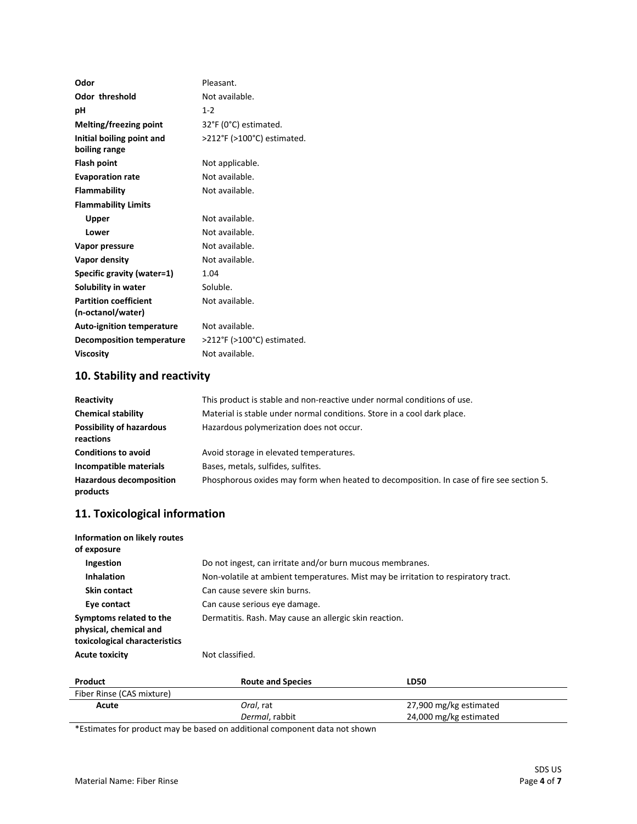| Odor                             | Pleasant.                  |
|----------------------------------|----------------------------|
| <b>Odor threshold</b>            | Not available.             |
| рH                               | $1 - 2$                    |
| <b>Melting/freezing point</b>    | 32°F (0°C) estimated.      |
| Initial boiling point and        | >212°F (>100°C) estimated. |
| boiling range                    |                            |
| <b>Flash point</b>               | Not applicable.            |
| <b>Evaporation rate</b>          | Not available.             |
| <b>Flammability</b>              | Not available.             |
| <b>Flammability Limits</b>       |                            |
| Upper                            | Not available.             |
| Lower                            | Not available.             |
| Vapor pressure                   | Not available.             |
| Vapor density                    | Not available.             |
| Specific gravity (water=1)       | 1.04                       |
| Solubility in water              | Soluble.                   |
| <b>Partition coefficient</b>     | Not available.             |
| (n-octanol/water)                |                            |
| <b>Auto-ignition temperature</b> | Not available.             |
| <b>Decomposition temperature</b> | >212°F (>100°C) estimated. |
| <b>Viscosity</b>                 | Not available.             |

# **10. Stability and reactivity**

| Reactivity                                   | This product is stable and non-reactive under normal conditions of use.                  |
|----------------------------------------------|------------------------------------------------------------------------------------------|
| <b>Chemical stability</b>                    | Material is stable under normal conditions. Store in a cool dark place.                  |
| <b>Possibility of hazardous</b><br>reactions | Hazardous polymerization does not occur.                                                 |
| <b>Conditions to avoid</b>                   | Avoid storage in elevated temperatures.                                                  |
| Incompatible materials                       | Bases, metals, sulfides, sulfites.                                                       |
| <b>Hazardous decomposition</b><br>products   | Phosphorous oxides may form when heated to decomposition. In case of fire see section 5. |

### **11. Toxicological information**

| Information on likely routes<br>of exposure                                        |                                                           |                                                                                    |
|------------------------------------------------------------------------------------|-----------------------------------------------------------|------------------------------------------------------------------------------------|
| Ingestion                                                                          | Do not ingest, can irritate and/or burn mucous membranes. |                                                                                    |
| <b>Inhalation</b>                                                                  |                                                           | Non-volatile at ambient temperatures. Mist may be irritation to respiratory tract. |
| Skin contact                                                                       | Can cause severe skin burns.                              |                                                                                    |
| Eye contact                                                                        | Can cause serious eye damage.                             |                                                                                    |
| Symptoms related to the<br>physical, chemical and<br>toxicological characteristics | Dermatitis. Rash. May cause an allergic skin reaction.    |                                                                                    |
| <b>Acute toxicity</b>                                                              | Not classified.                                           |                                                                                    |
| Product                                                                            | <b>Route and Species</b>                                  | <b>LD50</b>                                                                        |

| Fiber Rinse (CAS mixture) |                                                                                                                |                        |
|---------------------------|----------------------------------------------------------------------------------------------------------------|------------------------|
| Acute                     | Oral. rat                                                                                                      | 27,900 mg/kg estimated |
|                           | Dermal, rabbit                                                                                                 | 24,000 mg/kg estimated |
|                           | . Martin de la capital de la constitución de la constitución de la constitución de la constitución de la const |                        |

\*Estimates for product may be based on additional component data not shown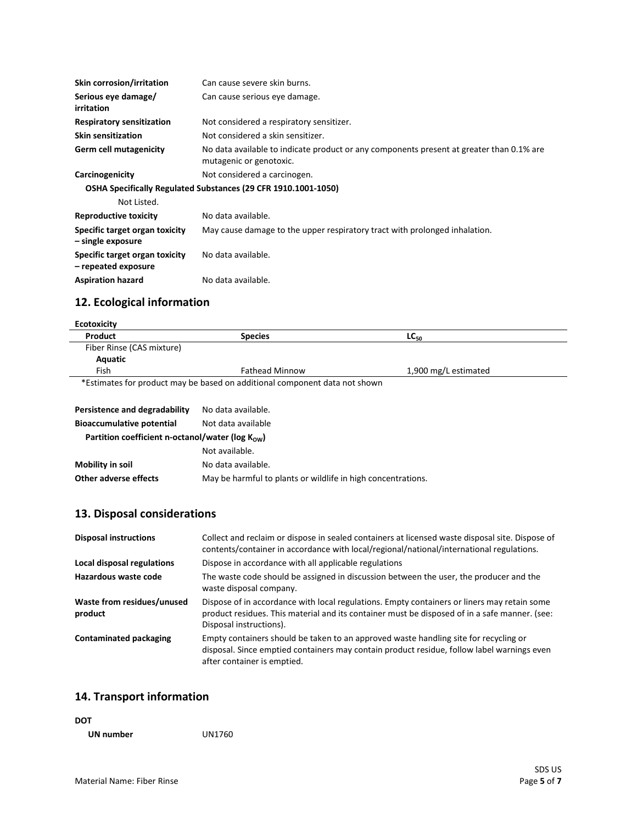| <b>Skin corrosion/irritation</b>                      | Can cause severe skin burns.                                                                                        |
|-------------------------------------------------------|---------------------------------------------------------------------------------------------------------------------|
| Serious eye damage/<br>irritation                     | Can cause serious eye damage.                                                                                       |
| <b>Respiratory sensitization</b>                      | Not considered a respiratory sensitizer.                                                                            |
| <b>Skin sensitization</b>                             | Not considered a skin sensitizer.                                                                                   |
| Germ cell mutagenicity                                | No data available to indicate product or any components present at greater than 0.1% are<br>mutagenic or genotoxic. |
| Carcinogenicity                                       | Not considered a carcinogen.                                                                                        |
|                                                       | OSHA Specifically Regulated Substances (29 CFR 1910.1001-1050)                                                      |
| Not Listed.                                           |                                                                                                                     |
| <b>Reproductive toxicity</b>                          | No data available.                                                                                                  |
| Specific target organ toxicity<br>- single exposure   | May cause damage to the upper respiratory tract with prolonged inhalation.                                          |
| Specific target organ toxicity<br>- repeated exposure | No data available.                                                                                                  |
| <b>Aspiration hazard</b>                              | No data available.                                                                                                  |

# **12. Ecological information**

| Product                   | <b>Species</b>        | LC <sub>50</sub>     |
|---------------------------|-----------------------|----------------------|
| Fiber Rinse (CAS mixture) |                       |                      |
| Aquatic                   |                       |                      |
| Fish                      | <b>Fathead Minnow</b> | 1,900 mg/L estimated |

| Persistence and degradability                                 | No data available.                                           |  |
|---------------------------------------------------------------|--------------------------------------------------------------|--|
| <b>Bioaccumulative potential</b>                              | Not data available                                           |  |
| Partition coefficient n-octanol/water ( $log K_{\text{ow}}$ ) |                                                              |  |
|                                                               | Not available.                                               |  |
| Mobility in soil                                              | No data available.                                           |  |
| Other adverse effects                                         | May be harmful to plants or wildlife in high concentrations. |  |

# **13. Disposal considerations**

| <b>Disposal instructions</b>          | Collect and reclaim or dispose in sealed containers at licensed waste disposal site. Dispose of<br>contents/container in accordance with local/regional/national/international regulations.                             |
|---------------------------------------|-------------------------------------------------------------------------------------------------------------------------------------------------------------------------------------------------------------------------|
| Local disposal regulations            | Dispose in accordance with all applicable regulations                                                                                                                                                                   |
| Hazardous waste code                  | The waste code should be assigned in discussion between the user, the producer and the<br>waste disposal company.                                                                                                       |
| Waste from residues/unused<br>product | Dispose of in accordance with local regulations. Empty containers or liners may retain some<br>product residues. This material and its container must be disposed of in a safe manner. (see:<br>Disposal instructions). |
| <b>Contaminated packaging</b>         | Empty containers should be taken to an approved waste handling site for recycling or<br>disposal. Since emptied containers may contain product residue, follow label warnings even<br>after container is emptied.       |

# **14. Transport information**

| <b>DOT</b> |        |
|------------|--------|
| UN number  | UN1760 |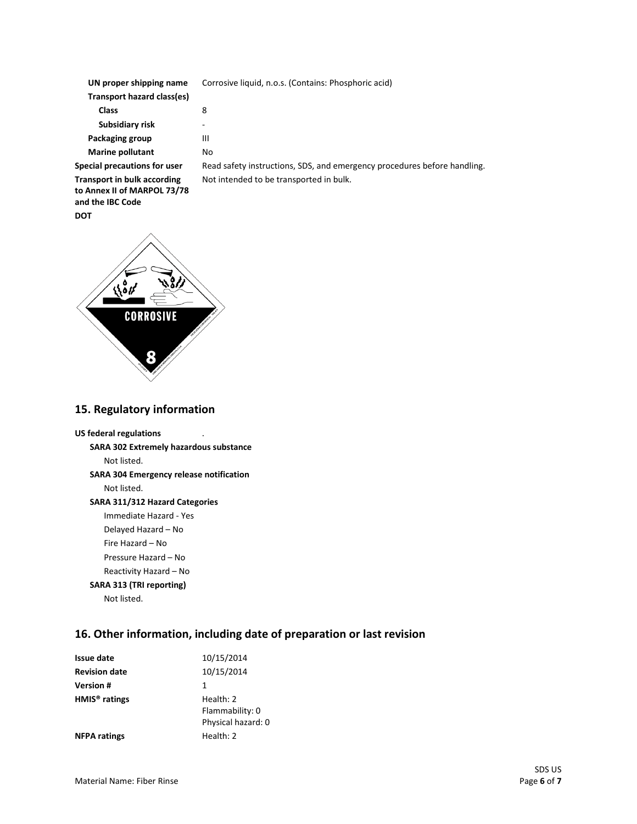| UN proper shipping name            | Corrosive liquid, n.o.s. (Contains: Phosphoric acid)                     |  |
|------------------------------------|--------------------------------------------------------------------------|--|
| Transport hazard class(es)         |                                                                          |  |
| <b>Class</b>                       | 8                                                                        |  |
| Subsidiary risk                    | ۰                                                                        |  |
| Packaging group                    | Ш                                                                        |  |
| <b>Marine pollutant</b>            | No                                                                       |  |
| Special precautions for user       | Read safety instructions, SDS, and emergency procedures before handling. |  |
| <b>Transport in bulk according</b> | Not intended to be transported in bulk.                                  |  |

**Transport in bulk according to Annex II of MARPOL 73/78 and the IBC Code DOT**



#### **15. Regulatory information**

#### **US federal regulations**

**SARA 302 Extremely hazardous substance** Not listed. **SARA 304 Emergency release notification** Not listed.

#### **SARA 311/312 Hazard Categories**

Immediate Hazard - Yes

- Delayed Hazard No
- Fire Hazard No
- Pressure Hazard No
- Reactivity Hazard No

### **SARA 313 (TRI reporting)**

Not listed.

# **16. Other information, including date of preparation or last revision**

| Issue date                | 10/15/2014                                         |
|---------------------------|----------------------------------------------------|
| <b>Revision date</b>      | 10/15/2014                                         |
| <b>Version#</b>           | 1                                                  |
| HMIS <sup>®</sup> ratings | Health: 2<br>Flammability: 0<br>Physical hazard: 0 |
| <b>NFPA ratings</b>       | Health: 2                                          |